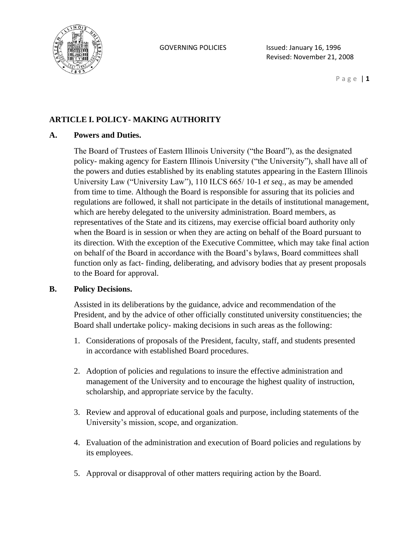

P a g e | **1**

## **ARTICLE I. POLICY- MAKING AUTHORITY**

### **A. Powers and Duties.**

The Board of Trustees of Eastern Illinois University ("the Board"), as the designated policy- making agency for Eastern Illinois University ("the University"), shall have all of the powers and duties established by its enabling statutes appearing in the Eastern Illinois University Law ("University Law"), 110 ILCS 665/ 10-1 *et seq.,* as may be amended from time to time. Although the Board is responsible for assuring that its policies and regulations are followed, it shall not participate in the details of institutional management, which are hereby delegated to the university administration. Board members, as representatives of the State and its citizens, may exercise official board authority only when the Board is in session or when they are acting on behalf of the Board pursuant to its direction. With the exception of the Executive Committee, which may take final action on behalf of the Board in accordance with the Board's bylaws, Board committees shall function only as fact- finding, deliberating, and advisory bodies that ay present proposals to the Board for approval.

### **B. Policy Decisions.**

Assisted in its deliberations by the guidance, advice and recommendation of the President, and by the advice of other officially constituted university constituencies; the Board shall undertake policy- making decisions in such areas as the following:

- 1. Considerations of proposals of the President, faculty, staff, and students presented in accordance with established Board procedures.
- 2. Adoption of policies and regulations to insure the effective administration and management of the University and to encourage the highest quality of instruction, scholarship, and appropriate service by the faculty.
- 3. Review and approval of educational goals and purpose, including statements of the University's mission, scope, and organization.
- 4. Evaluation of the administration and execution of Board policies and regulations by its employees.
- 5. Approval or disapproval of other matters requiring action by the Board.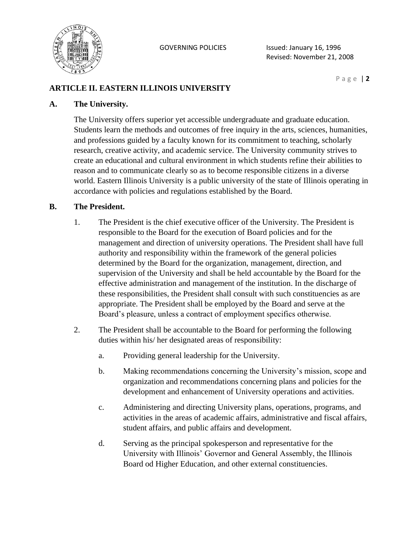

## **ARTICLE II. EASTERN ILLINOIS UNIVERSITY**

#### **A. The University.**

The University offers superior yet accessible undergraduate and graduate education. Students learn the methods and outcomes of free inquiry in the arts, sciences, humanities, and professions guided by a faculty known for its commitment to teaching, scholarly research, creative activity, and academic service. The University community strives to create an educational and cultural environment in which students refine their abilities to reason and to communicate clearly so as to become responsible citizens in a diverse world. Eastern Illinois University is a public university of the state of Illinois operating in accordance with policies and regulations established by the Board.

#### **B. The President.**

- 1. The President is the chief executive officer of the University. The President is responsible to the Board for the execution of Board policies and for the management and direction of university operations. The President shall have full authority and responsibility within the framework of the general policies determined by the Board for the organization, management, direction, and supervision of the University and shall be held accountable by the Board for the effective administration and management of the institution. In the discharge of these responsibilities, the President shall consult with such constituencies as are appropriate. The President shall be employed by the Board and serve at the Board's pleasure, unless a contract of employment specifics otherwise.
- 2. The President shall be accountable to the Board for performing the following duties within his/ her designated areas of responsibility:
	- a. Providing general leadership for the University.
	- b. Making recommendations concerning the University's mission, scope and organization and recommendations concerning plans and policies for the development and enhancement of University operations and activities.
	- c. Administering and directing University plans, operations, programs, and activities in the areas of academic affairs, administrative and fiscal affairs, student affairs, and public affairs and development.
	- d. Serving as the principal spokesperson and representative for the University with Illinois' Governor and General Assembly, the Illinois Board od Higher Education, and other external constituencies.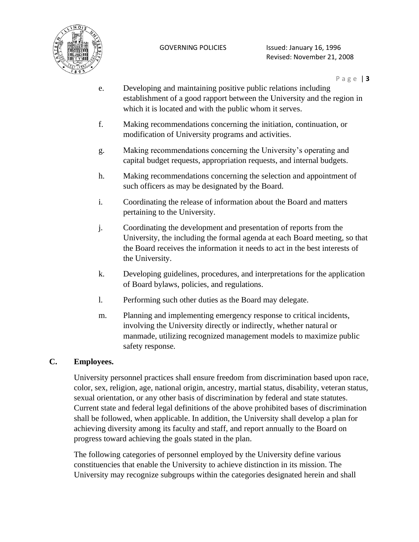

- e. Developing and maintaining positive public relations including establishment of a good rapport between the University and the region in which it is located and with the public whom it serves.
- f. Making recommendations concerning the initiation, continuation, or modification of University programs and activities.
- g. Making recommendations concerning the University's operating and capital budget requests, appropriation requests, and internal budgets.
- h. Making recommendations concerning the selection and appointment of such officers as may be designated by the Board.
- i. Coordinating the release of information about the Board and matters pertaining to the University.
- j. Coordinating the development and presentation of reports from the University, the including the formal agenda at each Board meeting, so that the Board receives the information it needs to act in the best interests of the University.
- k. Developing guidelines, procedures, and interpretations for the application of Board bylaws, policies, and regulations.
- l. Performing such other duties as the Board may delegate.
- m. Planning and implementing emergency response to critical incidents, involving the University directly or indirectly, whether natural or manmade, utilizing recognized management models to maximize public safety response.

## **C. Employees.**

University personnel practices shall ensure freedom from discrimination based upon race, color, sex, religion, age, national origin, ancestry, martial status, disability, veteran status, sexual orientation, or any other basis of discrimination by federal and state statutes. Current state and federal legal definitions of the above prohibited bases of discrimination shall be followed, when applicable. In addition, the University shall develop a plan for achieving diversity among its faculty and staff, and report annually to the Board on progress toward achieving the goals stated in the plan.

The following categories of personnel employed by the University define various constituencies that enable the University to achieve distinction in its mission. The University may recognize subgroups within the categories designated herein and shall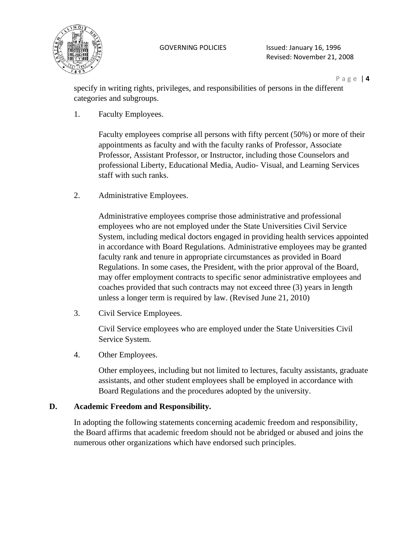

P a g e | **4**

specify in writing rights, privileges, and responsibilities of persons in the different categories and subgroups.

1. Faculty Employees.

Faculty employees comprise all persons with fifty percent (50%) or more of their appointments as faculty and with the faculty ranks of Professor, Associate Professor, Assistant Professor, or Instructor, including those Counselors and professional Liberty, Educational Media, Audio- Visual, and Learning Services staff with such ranks.

2. Administrative Employees.

Administrative employees comprise those administrative and professional employees who are not employed under the State Universities Civil Service System, including medical doctors engaged in providing health services appointed in accordance with Board Regulations. Administrative employees may be granted faculty rank and tenure in appropriate circumstances as provided in Board Regulations. In some cases, the President, with the prior approval of the Board, may offer employment contracts to specific senor administrative employees and coaches provided that such contracts may not exceed three (3) years in length unless a longer term is required by law. (Revised June 21, 2010)

3. Civil Service Employees.

Civil Service employees who are employed under the State Universities Civil Service System.

4. Other Employees.

Other employees, including but not limited to lectures, faculty assistants, graduate assistants, and other student employees shall be employed in accordance with Board Regulations and the procedures adopted by the university.

## **D. Academic Freedom and Responsibility.**

In adopting the following statements concerning academic freedom and responsibility, the Board affirms that academic freedom should not be abridged or abused and joins the numerous other organizations which have endorsed such principles.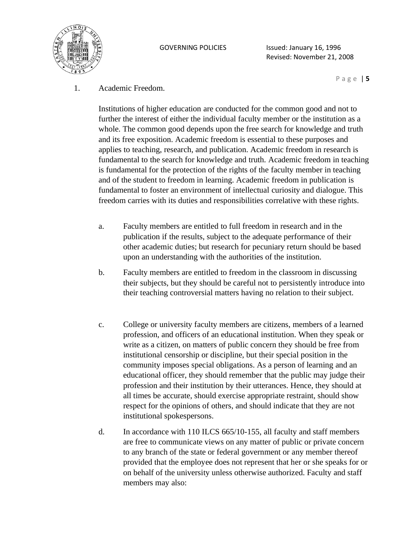

P a g e | **5**

1. Academic Freedom.

Institutions of higher education are conducted for the common good and not to further the interest of either the individual faculty member or the institution as a whole. The common good depends upon the free search for knowledge and truth and its free exposition. Academic freedom is essential to these purposes and applies to teaching, research, and publication. Academic freedom in research is fundamental to the search for knowledge and truth. Academic freedom in teaching is fundamental for the protection of the rights of the faculty member in teaching and of the student to freedom in learning. Academic freedom in publication is fundamental to foster an environment of intellectual curiosity and dialogue. This freedom carries with its duties and responsibilities correlative with these rights.

- a. Faculty members are entitled to full freedom in research and in the publication if the results, subject to the adequate performance of their other academic duties; but research for pecuniary return should be based upon an understanding with the authorities of the institution.
- b. Faculty members are entitled to freedom in the classroom in discussing their subjects, but they should be careful not to persistently introduce into their teaching controversial matters having no relation to their subject.
- c. College or university faculty members are citizens, members of a learned profession, and officers of an educational institution. When they speak or write as a citizen, on matters of public concern they should be free from institutional censorship or discipline, but their special position in the community imposes special obligations. As a person of learning and an educational officer, they should remember that the public may judge their profession and their institution by their utterances. Hence, they should at all times be accurate, should exercise appropriate restraint, should show respect for the opinions of others, and should indicate that they are not institutional spokespersons.
- d. In accordance with 110 ILCS 665/10-155, all faculty and staff members are free to communicate views on any matter of public or private concern to any branch of the state or federal government or any member thereof provided that the employee does not represent that her or she speaks for or on behalf of the university unless otherwise authorized. Faculty and staff members may also: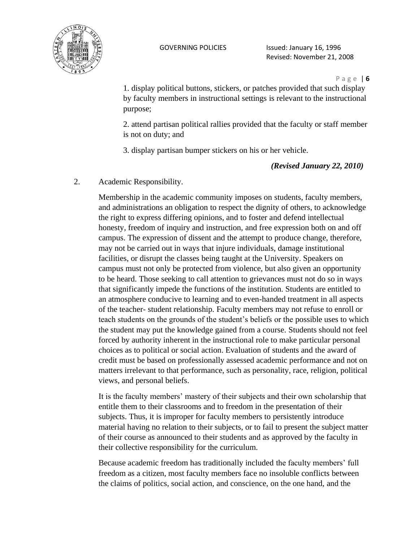

#### P a g e | **6**

1. display political buttons, stickers, or patches provided that such display by faculty members in instructional settings is relevant to the instructional purpose;

2. attend partisan political rallies provided that the faculty or staff member is not on duty; and

3. display partisan bumper stickers on his or her vehicle.

*(Revised January 22, 2010)*

2. Academic Responsibility.

Membership in the academic community imposes on students, faculty members, and administrations an obligation to respect the dignity of others, to acknowledge the right to express differing opinions, and to foster and defend intellectual honesty, freedom of inquiry and instruction, and free expression both on and off campus. The expression of dissent and the attempt to produce change, therefore, may not be carried out in ways that injure individuals, damage institutional facilities, or disrupt the classes being taught at the University. Speakers on campus must not only be protected from violence, but also given an opportunity to be heard. Those seeking to call attention to grievances must not do so in ways that significantly impede the functions of the institution. Students are entitled to an atmosphere conducive to learning and to even-handed treatment in all aspects of the teacher- student relationship. Faculty members may not refuse to enroll or teach students on the grounds of the student's beliefs or the possible uses to which the student may put the knowledge gained from a course. Students should not feel forced by authority inherent in the instructional role to make particular personal choices as to political or social action. Evaluation of students and the award of credit must be based on professionally assessed academic performance and not on matters irrelevant to that performance, such as personality, race, religion, political views, and personal beliefs.

It is the faculty members' mastery of their subjects and their own scholarship that entitle them to their classrooms and to freedom in the presentation of their subjects. Thus, it is improper for faculty members to persistently introduce material having no relation to their subjects, or to fail to present the subject matter of their course as announced to their students and as approved by the faculty in their collective responsibility for the curriculum.

Because academic freedom has traditionally included the faculty members' full freedom as a citizen, most faculty members face no insoluble conflicts between the claims of politics, social action, and conscience, on the one hand, and the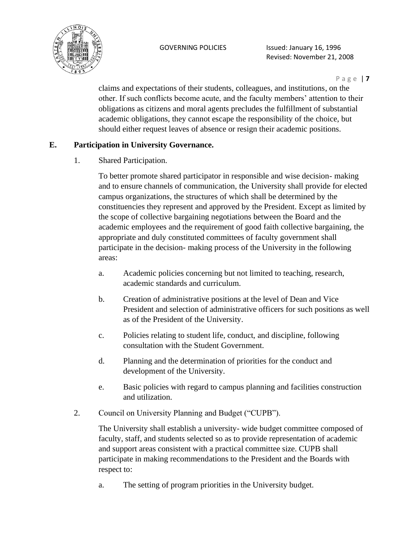

P a g e | **7**

claims and expectations of their students, colleagues, and institutions, on the other. If such conflicts become acute, and the faculty members' attention to their obligations as citizens and moral agents precludes the fulfillment of substantial academic obligations, they cannot escape the responsibility of the choice, but should either request leaves of absence or resign their academic positions.

## **E. Participation in University Governance.**

1. Shared Participation.

To better promote shared participator in responsible and wise decision- making and to ensure channels of communication, the University shall provide for elected campus organizations, the structures of which shall be determined by the constituencies they represent and approved by the President. Except as limited by the scope of collective bargaining negotiations between the Board and the academic employees and the requirement of good faith collective bargaining, the appropriate and duly constituted committees of faculty government shall participate in the decision- making process of the University in the following areas:

- a. Academic policies concerning but not limited to teaching, research, academic standards and curriculum.
- b. Creation of administrative positions at the level of Dean and Vice President and selection of administrative officers for such positions as well as of the President of the University.
- c. Policies relating to student life, conduct, and discipline, following consultation with the Student Government.
- d. Planning and the determination of priorities for the conduct and development of the University.
- e. Basic policies with regard to campus planning and facilities construction and utilization.
- 2. Council on University Planning and Budget ("CUPB").

The University shall establish a university- wide budget committee composed of faculty, staff, and students selected so as to provide representation of academic and support areas consistent with a practical committee size. CUPB shall participate in making recommendations to the President and the Boards with respect to:

a. The setting of program priorities in the University budget.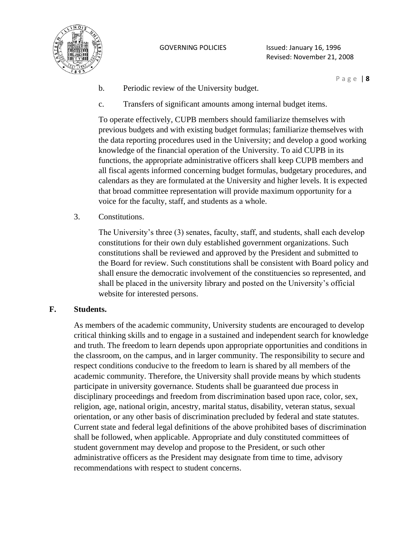

P a g e | **8**

- b. Periodic review of the University budget.
- c. Transfers of significant amounts among internal budget items.

To operate effectively, CUPB members should familiarize themselves with previous budgets and with existing budget formulas; familiarize themselves with the data reporting procedures used in the University; and develop a good working knowledge of the financial operation of the University. To aid CUPB in its functions, the appropriate administrative officers shall keep CUPB members and all fiscal agents informed concerning budget formulas, budgetary procedures, and calendars as they are formulated at the University and higher levels. It is expected that broad committee representation will provide maximum opportunity for a voice for the faculty, staff, and students as a whole.

3. Constitutions.

The University's three (3) senates, faculty, staff, and students, shall each develop constitutions for their own duly established government organizations. Such constitutions shall be reviewed and approved by the President and submitted to the Board for review. Such constitutions shall be consistent with Board policy and shall ensure the democratic involvement of the constituencies so represented, and shall be placed in the university library and posted on the University's official website for interested persons.

## **F. Students.**

As members of the academic community, University students are encouraged to develop critical thinking skills and to engage in a sustained and independent search for knowledge and truth. The freedom to learn depends upon appropriate opportunities and conditions in the classroom, on the campus, and in larger community. The responsibility to secure and respect conditions conducive to the freedom to learn is shared by all members of the academic community. Therefore, the University shall provide means by which students participate in university governance. Students shall be guaranteed due process in disciplinary proceedings and freedom from discrimination based upon race, color, sex, religion, age, national origin, ancestry, marital status, disability, veteran status, sexual orientation, or any other basis of discrimination precluded by federal and state statutes. Current state and federal legal definitions of the above prohibited bases of discrimination shall be followed, when applicable. Appropriate and duly constituted committees of student government may develop and propose to the President, or such other administrative officers as the President may designate from time to time, advisory recommendations with respect to student concerns.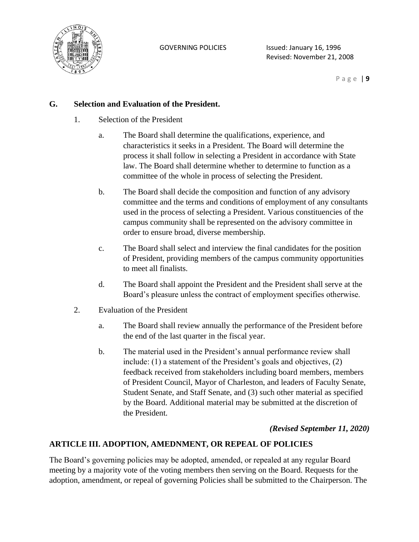

P a g e | **9**

## **G. Selection and Evaluation of the President.**

- 1. Selection of the President
	- a. The Board shall determine the qualifications, experience, and characteristics it seeks in a President. The Board will determine the process it shall follow in selecting a President in accordance with State law. The Board shall determine whether to determine to function as a committee of the whole in process of selecting the President.
	- b. The Board shall decide the composition and function of any advisory committee and the terms and conditions of employment of any consultants used in the process of selecting a President. Various constituencies of the campus community shall be represented on the advisory committee in order to ensure broad, diverse membership.
	- c. The Board shall select and interview the final candidates for the position of President, providing members of the campus community opportunities to meet all finalists.
	- d. The Board shall appoint the President and the President shall serve at the Board's pleasure unless the contract of employment specifies otherwise.
- 2. Evaluation of the President
	- a. The Board shall review annually the performance of the President before the end of the last quarter in the fiscal year.
	- b. The material used in the President's annual performance review shall include: (1) a statement of the President's goals and objectives, (2) feedback received from stakeholders including board members, members of President Council, Mayor of Charleston, and leaders of Faculty Senate, Student Senate, and Staff Senate, and (3) such other material as specified by the Board. Additional material may be submitted at the discretion of the President.

## *(Revised September 11, 2020)*

## **ARTICLE III. ADOPTION, AMEDNMENT, OR REPEAL OF POLICIES**

The Board's governing policies may be adopted, amended, or repealed at any regular Board meeting by a majority vote of the voting members then serving on the Board. Requests for the adoption, amendment, or repeal of governing Policies shall be submitted to the Chairperson. The